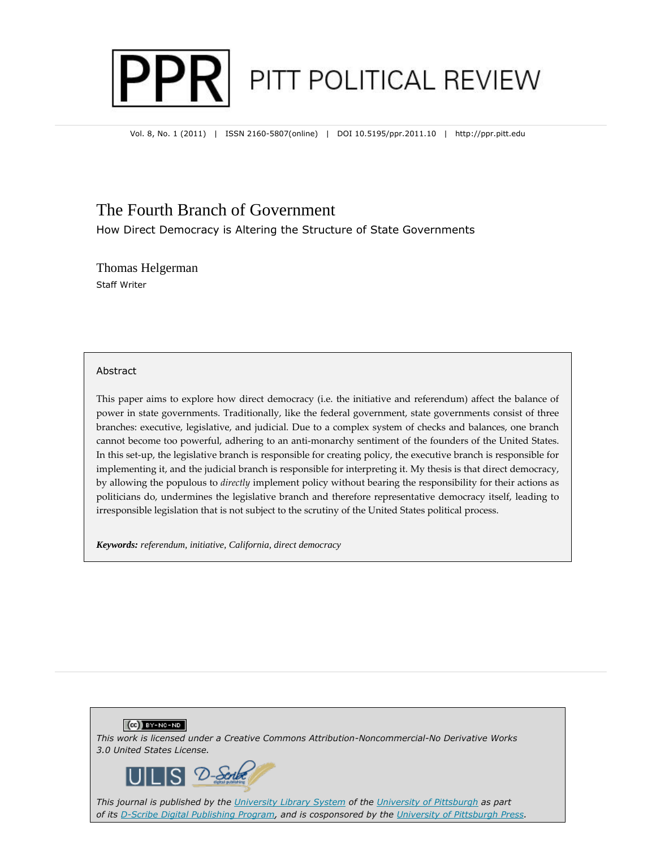

Vol. 8, No. 1 (2011) | ISSN 2160-5807(online) | DOI 10.5195/ppr.2011.10 | http://ppr.pitt.edu

### The Fourth Branch of Government

How Direct Democracy is Altering the Structure of State Governments

Thomas Helgerman Staff Writer

#### Abstract

This paper aims to explore how direct democracy (i.e. the initiative and referendum) affect the balance of power in state governments. Traditionally, like the federal government, state governments consist of three branches: executive, legislative, and judicial. Due to a complex system of checks and balances, one branch cannot become too powerful, adhering to an anti-monarchy sentiment of the founders of the United States. In this set-up, the legislative branch is responsible for creating policy, the executive branch is responsible for implementing it, and the judicial branch is responsible for interpreting it. My thesis is that direct democracy, by allowing the populous to *directly* implement policy without bearing the responsibility for their actions as politicians do, undermines the legislative branch and therefore representative democracy itself, leading to irresponsible legislation that is not subject to the scrutiny of the United States political process.

*Keywords: referendum, initiative, California, direct democracy*

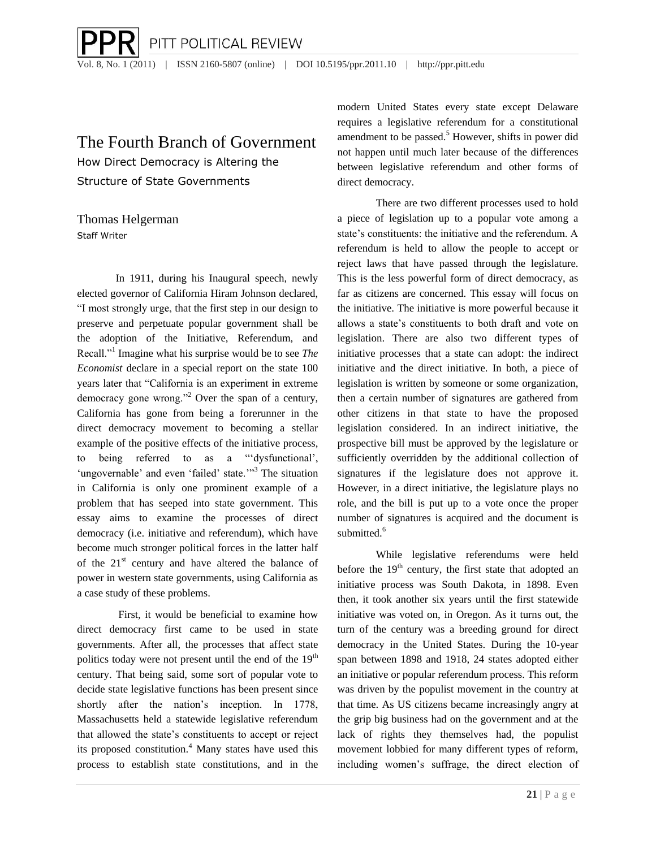## The Fourth Branch of Government

How Direct Democracy is Altering the Structure of State Governments

Thomas Helgerman Staff Writer

In 1911, during his Inaugural speech, newly elected governor of California Hiram Johnson declared, "I most strongly urge, that the first step in our design to preserve and perpetuate popular government shall be the adoption of the Initiative, Referendum, and Recall."<sup>1</sup> Imagine what his surprise would be to see *The Economist* declare in a special report on the state 100 years later that "California is an experiment in extreme democracy gone wrong."<sup>2</sup> Over the span of a century, California has gone from being a forerunner in the direct democracy movement to becoming a stellar example of the positive effects of the initiative process, to being referred to as a ""dysfunctional", 'ungovernable' and even 'failed' state."<sup>3</sup> The situation in California is only one prominent example of a problem that has seeped into state government. This essay aims to examine the processes of direct democracy (i.e. initiative and referendum), which have become much stronger political forces in the latter half of the  $21<sup>st</sup>$  century and have altered the balance of power in western state governments, using California as a case study of these problems.

First, it would be beneficial to examine how direct democracy first came to be used in state governments. After all, the processes that affect state politics today were not present until the end of the  $19<sup>th</sup>$ century. That being said, some sort of popular vote to decide state legislative functions has been present since shortly after the nation's inception. In 1778, Massachusetts held a statewide legislative referendum that allowed the state"s constituents to accept or reject its proposed constitution.<sup>4</sup> Many states have used this process to establish state constitutions, and in the modern United States every state except Delaware requires a legislative referendum for a constitutional amendment to be passed.<sup>5</sup> However, shifts in power did not happen until much later because of the differences between legislative referendum and other forms of direct democracy.

There are two different processes used to hold a piece of legislation up to a popular vote among a state's constituents: the initiative and the referendum. A referendum is held to allow the people to accept or reject laws that have passed through the legislature. This is the less powerful form of direct democracy, as far as citizens are concerned. This essay will focus on the initiative. The initiative is more powerful because it allows a state"s constituents to both draft and vote on legislation. There are also two different types of initiative processes that a state can adopt: the indirect initiative and the direct initiative. In both, a piece of legislation is written by someone or some organization, then a certain number of signatures are gathered from other citizens in that state to have the proposed legislation considered. In an indirect initiative, the prospective bill must be approved by the legislature or sufficiently overridden by the additional collection of signatures if the legislature does not approve it. However, in a direct initiative, the legislature plays no role, and the bill is put up to a vote once the proper number of signatures is acquired and the document is submitted.<sup>6</sup>

While legislative referendums were held before the  $19<sup>th</sup>$  century, the first state that adopted an initiative process was South Dakota, in 1898. Even then, it took another six years until the first statewide initiative was voted on, in Oregon. As it turns out, the turn of the century was a breeding ground for direct democracy in the United States. During the 10-year span between 1898 and 1918, 24 states adopted either an initiative or popular referendum process. This reform was driven by the populist movement in the country at that time. As US citizens became increasingly angry at the grip big business had on the government and at the lack of rights they themselves had, the populist movement lobbied for many different types of reform, including women"s suffrage, the direct election of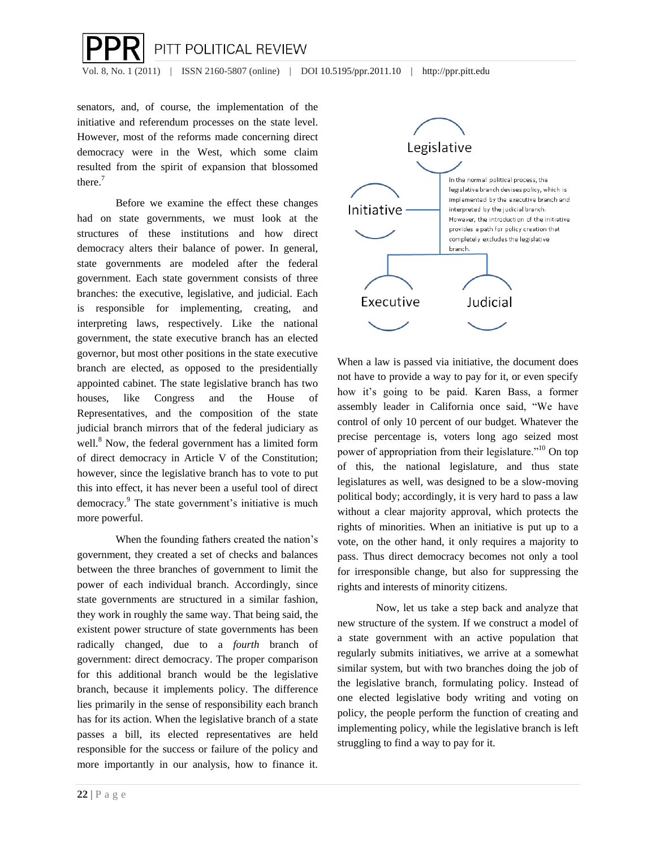

senators, and, of course, the implementation of the initiative and referendum processes on the state level. However, most of the reforms made concerning direct democracy were in the West, which some claim resulted from the spirit of expansion that blossomed there.<sup>7</sup>

Before we examine the effect these changes had on state governments, we must look at the structures of these institutions and how direct democracy alters their balance of power. In general, state governments are modeled after the federal government. Each state government consists of three branches: the executive, legislative, and judicial. Each is responsible for implementing, creating, and interpreting laws, respectively. Like the national government, the state executive branch has an elected governor, but most other positions in the state executive branch are elected, as opposed to the presidentially appointed cabinet. The state legislative branch has two houses, like Congress and the House of Representatives, and the composition of the state judicial branch mirrors that of the federal judiciary as well.<sup>8</sup> Now, the federal government has a limited form of direct democracy in Article V of the Constitution; however, since the legislative branch has to vote to put this into effect, it has never been a useful tool of direct democracy.<sup>9</sup> The state government's initiative is much more powerful.

When the founding fathers created the nation's government, they created a set of checks and balances between the three branches of government to limit the power of each individual branch. Accordingly, since state governments are structured in a similar fashion, they work in roughly the same way. That being said, the existent power structure of state governments has been radically changed, due to a *fourth* branch of government: direct democracy. The proper comparison for this additional branch would be the legislative branch, because it implements policy. The difference lies primarily in the sense of responsibility each branch has for its action. When the legislative branch of a state passes a bill, its elected representatives are held responsible for the success or failure of the policy and more importantly in our analysis, how to finance it.



When a law is passed via initiative, the document does not have to provide a way to pay for it, or even specify how it"s going to be paid. Karen Bass, a former assembly leader in California once said, "We have control of only 10 percent of our budget. Whatever the precise percentage is, voters long ago seized most power of appropriation from their legislature."<sup>10</sup> On top of this, the national legislature, and thus state legislatures as well, was designed to be a slow-moving political body; accordingly, it is very hard to pass a law without a clear majority approval, which protects the rights of minorities. When an initiative is put up to a vote, on the other hand, it only requires a majority to pass. Thus direct democracy becomes not only a tool for irresponsible change, but also for suppressing the rights and interests of minority citizens.

Now, let us take a step back and analyze that new structure of the system. If we construct a model of a state government with an active population that regularly submits initiatives, we arrive at a somewhat similar system, but with two branches doing the job of the legislative branch, formulating policy. Instead of one elected legislative body writing and voting on policy, the people perform the function of creating and implementing policy, while the legislative branch is left struggling to find a way to pay for it.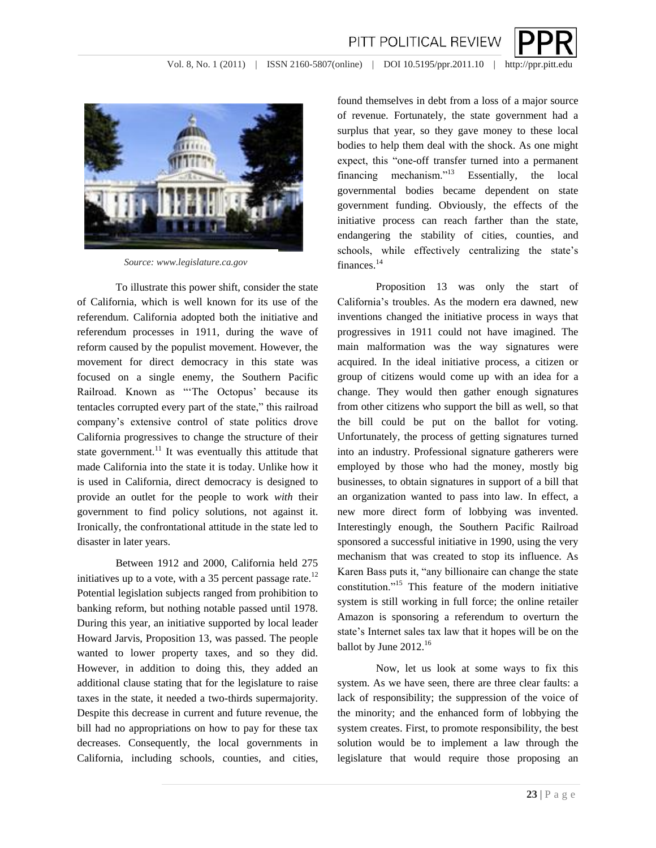

Vol. 8, No. 1 (2011) | ISSN 2160-5807(online) | DOI 10.5195/ppr.2011.10 | http://ppr.pitt.edu



*Source: www.legislature.ca.gov*

To illustrate this power shift, consider the state of California, which is well known for its use of the referendum. California adopted both the initiative and referendum processes in 1911, during the wave of reform caused by the populist movement. However, the movement for direct democracy in this state was focused on a single enemy, the Southern Pacific Railroad. Known as "The Octopus' because its tentacles corrupted every part of the state," this railroad company"s extensive control of state politics drove California progressives to change the structure of their state government.<sup>11</sup> It was eventually this attitude that made California into the state it is today. Unlike how it is used in California, direct democracy is designed to provide an outlet for the people to work *with* their government to find policy solutions, not against it. Ironically, the confrontational attitude in the state led to disaster in later years.

Between 1912 and 2000, California held 275 initiatives up to a vote, with a 35 percent passage rate.<sup>12</sup> Potential legislation subjects ranged from prohibition to banking reform, but nothing notable passed until 1978. During this year, an initiative supported by local leader Howard Jarvis, Proposition 13, was passed. The people wanted to lower property taxes, and so they did. However, in addition to doing this, they added an additional clause stating that for the legislature to raise taxes in the state, it needed a two-thirds supermajority. Despite this decrease in current and future revenue, the bill had no appropriations on how to pay for these tax decreases. Consequently, the local governments in California, including schools, counties, and cities,

found themselves in debt from a loss of a major source of revenue. Fortunately, the state government had a surplus that year, so they gave money to these local bodies to help them deal with the shock. As one might expect, this "one-off transfer turned into a permanent financing mechanism."<sup>13</sup> Essentially, the local governmental bodies became dependent on state government funding. Obviously, the effects of the initiative process can reach farther than the state, endangering the stability of cities, counties, and schools, while effectively centralizing the state's finances.<sup>14</sup>

Proposition 13 was only the start of California"s troubles. As the modern era dawned, new inventions changed the initiative process in ways that progressives in 1911 could not have imagined. The main malformation was the way signatures were acquired. In the ideal initiative process, a citizen or group of citizens would come up with an idea for a change. They would then gather enough signatures from other citizens who support the bill as well, so that the bill could be put on the ballot for voting. Unfortunately, the process of getting signatures turned into an industry. Professional signature gatherers were employed by those who had the money, mostly big businesses, to obtain signatures in support of a bill that an organization wanted to pass into law. In effect, a new more direct form of lobbying was invented. Interestingly enough, the Southern Pacific Railroad sponsored a successful initiative in 1990, using the very mechanism that was created to stop its influence. As Karen Bass puts it, "any billionaire can change the state constitution."<sup>15</sup> This feature of the modern initiative system is still working in full force; the online retailer Amazon is sponsoring a referendum to overturn the state"s Internet sales tax law that it hopes will be on the ballot by June 2012.<sup>16</sup>

Now, let us look at some ways to fix this system. As we have seen, there are three clear faults: a lack of responsibility; the suppression of the voice of the minority; and the enhanced form of lobbying the system creates. First, to promote responsibility, the best solution would be to implement a law through the legislature that would require those proposing an